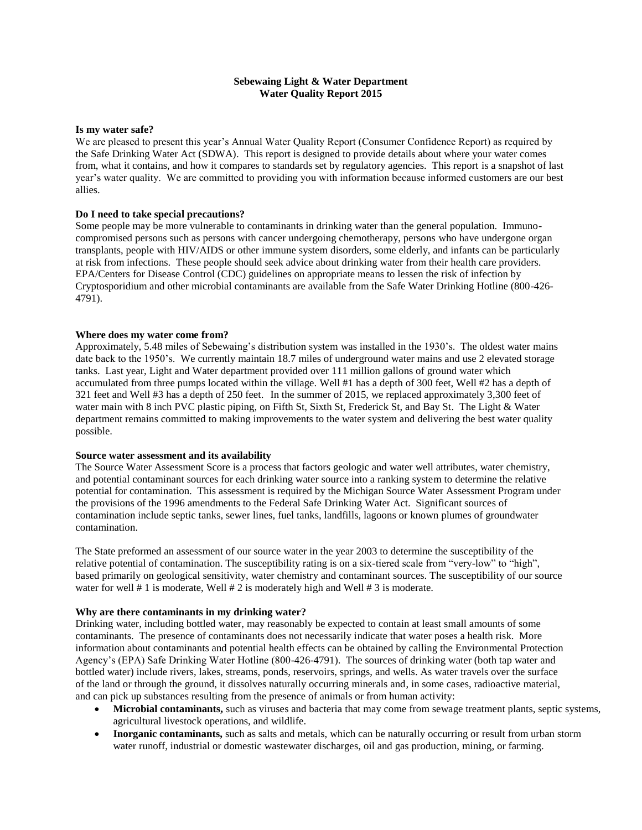## **Sebewaing Light & Water Department Water Quality Report 2015**

#### **Is my water safe?**

We are pleased to present this year's Annual Water Quality Report (Consumer Confidence Report) as required by the Safe Drinking Water Act (SDWA). This report is designed to provide details about where your water comes from, what it contains, and how it compares to standards set by regulatory agencies. This report is a snapshot of last year's water quality. We are committed to providing you with information because informed customers are our best allies.

### **Do I need to take special precautions?**

Some people may be more vulnerable to contaminants in drinking water than the general population. Immunocompromised persons such as persons with cancer undergoing chemotherapy, persons who have undergone organ transplants, people with HIV/AIDS or other immune system disorders, some elderly, and infants can be particularly at risk from infections. These people should seek advice about drinking water from their health care providers. EPA/Centers for Disease Control (CDC) guidelines on appropriate means to lessen the risk of infection by Cryptosporidium and other microbial contaminants are available from the Safe Water Drinking Hotline (800-426- 4791).

#### **Where does my water come from?**

Approximately, 5.48 miles of Sebewaing's distribution system was installed in the 1930's. The oldest water mains date back to the 1950's. We currently maintain 18.7 miles of underground water mains and use 2 elevated storage tanks. Last year, Light and Water department provided over 111 million gallons of ground water which accumulated from three pumps located within the village. Well #1 has a depth of 300 feet, Well #2 has a depth of 321 feet and Well #3 has a depth of 250 feet. In the summer of 2015, we replaced approximately 3,300 feet of water main with 8 inch PVC plastic piping, on Fifth St, Sixth St, Frederick St, and Bay St. The Light & Water department remains committed to making improvements to the water system and delivering the best water quality possible.

#### **Source water assessment and its availability**

The Source Water Assessment Score is a process that factors geologic and water well attributes, water chemistry, and potential contaminant sources for each drinking water source into a ranking system to determine the relative potential for contamination. This assessment is required by the Michigan Source Water Assessment Program under the provisions of the 1996 amendments to the Federal Safe Drinking Water Act. Significant sources of contamination include septic tanks, sewer lines, fuel tanks, landfills, lagoons or known plumes of groundwater contamination.

The State preformed an assessment of our source water in the year 2003 to determine the susceptibility of the relative potential of contamination. The susceptibility rating is on a six-tiered scale from "very-low" to "high", based primarily on geological sensitivity, water chemistry and contaminant sources. The susceptibility of our source water for well # 1 is moderate, Well # 2 is moderately high and Well # 3 is moderate.

#### **Why are there contaminants in my drinking water?**

Drinking water, including bottled water, may reasonably be expected to contain at least small amounts of some contaminants. The presence of contaminants does not necessarily indicate that water poses a health risk. More information about contaminants and potential health effects can be obtained by calling the Environmental Protection Agency's (EPA) Safe Drinking Water Hotline (800-426-4791). The sources of drinking water (both tap water and bottled water) include rivers, lakes, streams, ponds, reservoirs, springs, and wells. As water travels over the surface of the land or through the ground, it dissolves naturally occurring minerals and, in some cases, radioactive material, and can pick up substances resulting from the presence of animals or from human activity:

- **Microbial contaminants,** such as viruses and bacteria that may come from sewage treatment plants, septic systems, agricultural livestock operations, and wildlife.
- **Inorganic contaminants,** such as salts and metals, which can be naturally occurring or result from urban storm water runoff, industrial or domestic wastewater discharges, oil and gas production, mining, or farming.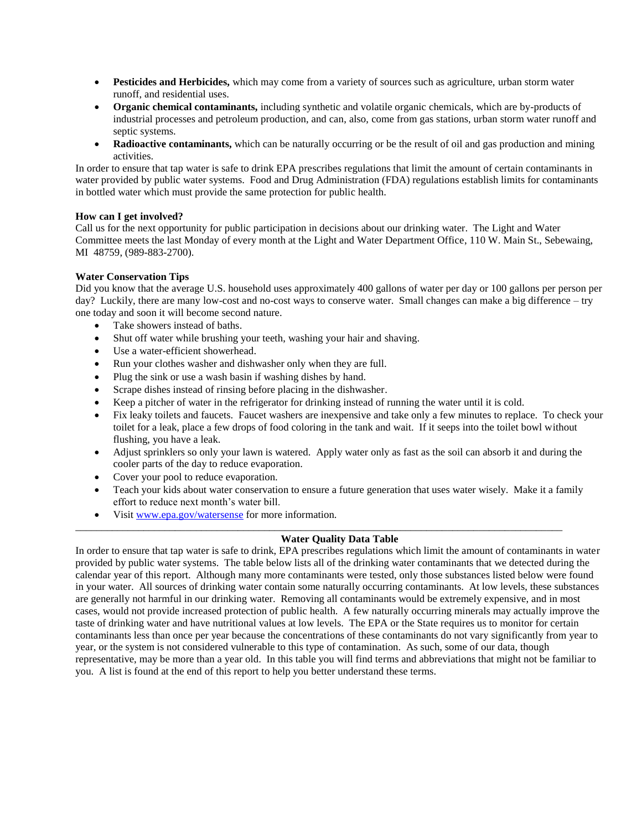- **Pesticides and Herbicides,** which may come from a variety of sources such as agriculture, urban storm water runoff, and residential uses.
- **Organic chemical contaminants,** including synthetic and volatile organic chemicals, which are by-products of industrial processes and petroleum production, and can, also, come from gas stations, urban storm water runoff and septic systems.
- **Radioactive contaminants,** which can be naturally occurring or be the result of oil and gas production and mining activities.

In order to ensure that tap water is safe to drink EPA prescribes regulations that limit the amount of certain contaminants in water provided by public water systems. Food and Drug Administration (FDA) regulations establish limits for contaminants in bottled water which must provide the same protection for public health.

## **How can I get involved?**

Call us for the next opportunity for public participation in decisions about our drinking water. The Light and Water Committee meets the last Monday of every month at the Light and Water Department Office, 110 W. Main St., Sebewaing, MI 48759, (989-883-2700).

## **Water Conservation Tips**

Did you know that the average U.S. household uses approximately 400 gallons of water per day or 100 gallons per person per day? Luckily, there are many low-cost and no-cost ways to conserve water. Small changes can make a big difference – try one today and soon it will become second nature.

- Take showers instead of baths.
- Shut off water while brushing your teeth, washing your hair and shaving.
- Use a water-efficient showerhead.
- Run your clothes washer and dishwasher only when they are full.
- Plug the sink or use a wash basin if washing dishes by hand.
- Scrape dishes instead of rinsing before placing in the dishwasher.
- Keep a pitcher of water in the refrigerator for drinking instead of running the water until it is cold.
- Fix leaky toilets and faucets. Faucet washers are inexpensive and take only a few minutes to replace. To check your toilet for a leak, place a few drops of food coloring in the tank and wait. If it seeps into the toilet bowl without flushing, you have a leak.
- Adjust sprinklers so only your lawn is watered. Apply water only as fast as the soil can absorb it and during the cooler parts of the day to reduce evaporation.
- Cover your pool to reduce evaporation.
- Teach your kids about water conservation to ensure a future generation that uses water wisely. Make it a family effort to reduce next month's water bill.
- Visit [www.epa.gov/watersense](http://www.epa.gov/watersense) for more information.

## **Water Quality Data Table**

\_\_\_\_\_\_\_\_\_\_\_\_\_\_\_\_\_\_\_\_\_\_\_\_\_\_\_\_\_\_\_\_\_\_\_\_\_\_\_\_\_\_\_\_\_\_\_\_\_\_\_\_\_\_\_\_\_\_\_\_\_\_\_\_\_\_\_\_\_\_\_\_\_\_\_\_\_\_\_\_\_\_\_\_\_\_\_\_\_\_\_\_\_

In order to ensure that tap water is safe to drink, EPA prescribes regulations which limit the amount of contaminants in water provided by public water systems. The table below lists all of the drinking water contaminants that we detected during the calendar year of this report. Although many more contaminants were tested, only those substances listed below were found in your water. All sources of drinking water contain some naturally occurring contaminants. At low levels, these substances are generally not harmful in our drinking water. Removing all contaminants would be extremely expensive, and in most cases, would not provide increased protection of public health. A few naturally occurring minerals may actually improve the taste of drinking water and have nutritional values at low levels. The EPA or the State requires us to monitor for certain contaminants less than once per year because the concentrations of these contaminants do not vary significantly from year to year, or the system is not considered vulnerable to this type of contamination. As such, some of our data, though representative, may be more than a year old. In this table you will find terms and abbreviations that might not be familiar to you. A list is found at the end of this report to help you better understand these terms.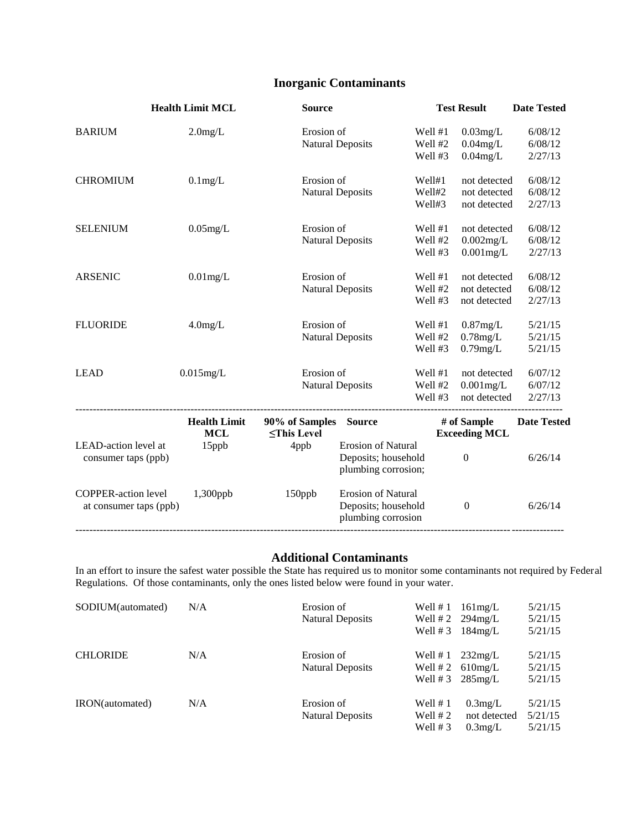# **Inorganic Contaminants**

|                                                      | <b>Health Limit MCL</b>                    | <b>Source</b>                              |                                                                        |                               | <b>Test Result</b>                           | <b>Date Tested</b>            |
|------------------------------------------------------|--------------------------------------------|--------------------------------------------|------------------------------------------------------------------------|-------------------------------|----------------------------------------------|-------------------------------|
| <b>BARIUM</b>                                        | $2.0$ mg/L                                 | Erosion of                                 | <b>Natural Deposits</b>                                                | Well #1<br>Well #2<br>Well #3 | $0.03$ mg/L<br>$0.04$ mg/L<br>$0.04$ mg/L    | 6/08/12<br>6/08/12<br>2/27/13 |
| <b>CHROMIUM</b>                                      | $0.1$ mg/L                                 | Erosion of                                 | <b>Natural Deposits</b>                                                | Well#1<br>Well#2<br>Well#3    | not detected<br>not detected<br>not detected | 6/08/12<br>6/08/12<br>2/27/13 |
| <b>SELENIUM</b>                                      | $0.05$ mg/L                                | Erosion of                                 | <b>Natural Deposits</b>                                                | Well #1<br>Well #2<br>Well #3 | not detected<br>0.002mg/L<br>$0.001$ mg/L    | 6/08/12<br>6/08/12<br>2/27/13 |
| <b>ARSENIC</b>                                       | $0.01$ mg/L                                | Erosion of                                 | <b>Natural Deposits</b>                                                | Well #1<br>Well #2<br>Well #3 | not detected<br>not detected<br>not detected | 6/08/12<br>6/08/12<br>2/27/13 |
| <b>FLUORIDE</b>                                      | $4.0$ mg/L                                 | Erosion of                                 | <b>Natural Deposits</b>                                                | Well #1<br>Well #2<br>Well #3 | $0.87$ mg/L<br>$0.78$ mg/L<br>$0.79$ mg/L    | 5/21/15<br>5/21/15<br>5/21/15 |
| <b>LEAD</b>                                          | $0.015$ mg/L                               | Erosion of                                 | <b>Natural Deposits</b>                                                | Well #1<br>Well #2<br>Well #3 | not detected<br>$0.001$ mg/L<br>not detected | 6/07/12<br>6/07/12<br>2/27/13 |
| LEAD-action level at                                 | <b>Health Limit</b><br><b>MCL</b><br>15ppb | 90% of Samples<br>$\le$ This Level<br>4ppb | <b>Source</b><br><b>Erosion of Natural</b>                             |                               | # of Sample<br><b>Exceeding MCL</b>          | <b>Date Tested</b>            |
| consumer taps (ppb)                                  |                                            |                                            | Deposits; household<br>plumbing corrosion;                             |                               | $\boldsymbol{0}$                             | 6/26/14                       |
| <b>COPPER-action level</b><br>at consumer taps (ppb) | 1,300ppb                                   | 150ppb                                     | <b>Erosion of Natural</b><br>Deposits; household<br>plumbing corrosion |                               | $\boldsymbol{0}$                             | 6/26/14                       |

## **Additional Contaminants**

In an effort to insure the safest water possible the State has required us to monitor some contaminants not required by Federal Regulations. Of those contaminants, only the ones listed below were found in your water.

| SODIUM(automated) | N/A | Erosion of              | Well $# 1$ | 161mg/L                  | 5/21/15 |
|-------------------|-----|-------------------------|------------|--------------------------|---------|
|                   |     | Natural Deposits        |            | Well $#2 \quad 294$ mg/L | 5/21/15 |
|                   |     |                         | Well $# 3$ | 184mg/L                  | 5/21/15 |
| <b>CHLORIDE</b>   | N/A | Erosion of              | Well #1    | 232mg/L                  | 5/21/15 |
|                   |     | <b>Natural Deposits</b> |            | Well $#2$ 610mg/L        | 5/21/15 |
|                   |     |                         | Well #3    | $285$ mg/L               | 5/21/15 |
| IRON(automated)   | N/A | Erosion of              | Well $# 1$ | $0.3$ mg/L               | 5/21/15 |
|                   |     | Natural Deposits        | Well $# 2$ | not detected             | 5/21/15 |
|                   |     |                         | Well $# 3$ | $0.3$ mg/L               | 5/21/15 |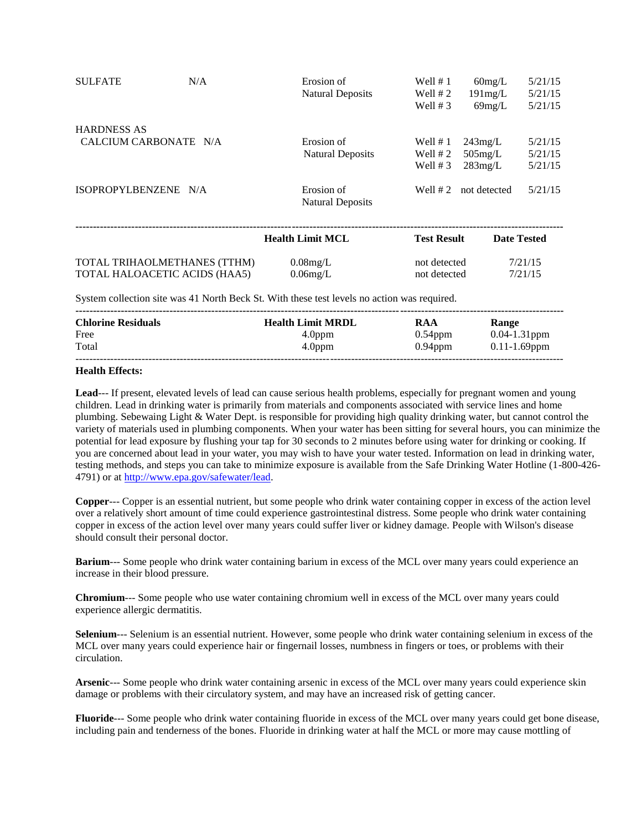| <b>SULFATE</b>        | N/A                           | Erosion of<br><b>Natural Deposits</b> | Well $# 1$<br>Well $# 2$<br>Well $# 3$ | $60$ mg/L<br>191mg/L<br>$69$ mg/L | 5/21/15<br>5/21/15<br>5/21/15 |
|-----------------------|-------------------------------|---------------------------------------|----------------------------------------|-----------------------------------|-------------------------------|
| <b>HARDNESS AS</b>    |                               |                                       |                                        |                                   |                               |
| CALCIUM CARBONATE N/A |                               | Erosion of                            | Well $# 1$                             | 243mg/L                           | 5/21/15                       |
|                       |                               | <b>Natural Deposits</b>               | Well $# 2$                             | $505$ mg/L                        | 5/21/15                       |
|                       |                               |                                       | Well $# 3$                             | 283mg/L                           | 5/21/15                       |
| ISOPROPYLBENZENE N/A  |                               | Erosion of<br>Natural Deposits        | Well $# 2$                             | not detected                      | 5/21/15                       |
|                       |                               | <b>Health Limit MCL</b>               | <b>Test Result</b>                     |                                   | <b>Date Tested</b>            |
|                       | TOTAL TRIHAOLMETHANES (TTHM)  | $0.08$ mg/L                           | not detected                           |                                   | 7/21/15                       |
|                       | TOTAL HALOACETIC ACIDS (HAA5) | $0.06$ mg/L                           | not detected                           |                                   | 7/21/15                       |

System collection site was 41 North Beck St. With these test levels no action was required.

| <b>Chlorine Residuals</b> | <b>Health Limit MRDL</b> | <b>RAA</b> | Range             |
|---------------------------|--------------------------|------------|-------------------|
| Free                      | 4.0 <sub>ppm</sub>       | $0.54$ ppm | $0.04 - 1.31$ ppm |
| Total                     | 4.0 <sub>ppm</sub>       | $0.94$ ppm | $0.11 - 1.69$ ppm |
|                           |                          |            |                   |

#### **Health Effects:**

**Lead**--- If present, elevated levels of lead can cause serious health problems, especially for pregnant women and young children. Lead in drinking water is primarily from materials and components associated with service lines and home plumbing. Sebewaing Light & Water Dept. is responsible for providing high quality drinking water, but cannot control the variety of materials used in plumbing components. When your water has been sitting for several hours, you can minimize the potential for lead exposure by flushing your tap for 30 seconds to 2 minutes before using water for drinking or cooking. If you are concerned about lead in your water, you may wish to have your water tested. Information on lead in drinking water, testing methods, and steps you can take to minimize exposure is available from the Safe Drinking Water Hotline (1-800-426- 4791) or at http://www.epa.gov/safewater/lead.

**Copper**--- Copper is an essential nutrient, but some people who drink water containing copper in excess of the action level over a relatively short amount of time could experience gastrointestinal distress. Some people who drink water containing copper in excess of the action level over many years could suffer liver or kidney damage. People with Wilson's disease should consult their personal doctor.

**Barium**--- Some people who drink water containing barium in excess of the MCL over many years could experience an increase in their blood pressure.

**Chromium**--- Some people who use water containing chromium well in excess of the MCL over many years could experience allergic dermatitis.

**Selenium**--- Selenium is an essential nutrient. However, some people who drink water containing selenium in excess of the MCL over many years could experience hair or fingernail losses, numbness in fingers or toes, or problems with their circulation.

**Arsenic**--- Some people who drink water containing arsenic in excess of the MCL over many years could experience skin damage or problems with their circulatory system, and may have an increased risk of getting cancer.

**Fluoride**--- Some people who drink water containing fluoride in excess of the MCL over many years could get bone disease, including pain and tenderness of the bones. Fluoride in drinking water at half the MCL or more may cause mottling of